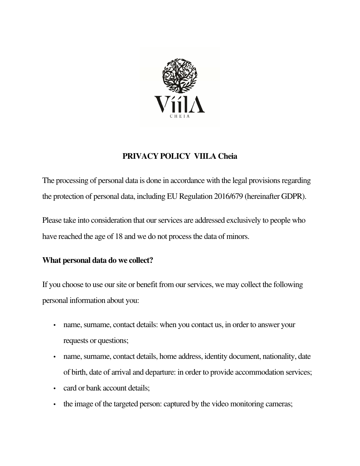

# **PRIVACY POLICY VIILA Cheia**

The processing of personal data is done in accordance with the legal provisions regarding the protection of personal data, including EU Regulation 2016/679 (hereinafter GDPR).

Please take into consideration that our services are addressed exclusively to people who have reached the age of 18 and we do not process the data of minors.

## **What personal data do we collect?**

If you choose to use our site or benefit from our services, we may collect the following personal information about you:

- name, surname, contact details: when you contact us, in order to answer your requests or questions;
- name, surname, contact details, home address, identity document, nationality, date of birth, date of arrival and departure: in order to provide accommodation services;
- card or bank account details;
- the image of the targeted person: captured by the video monitoring cameras;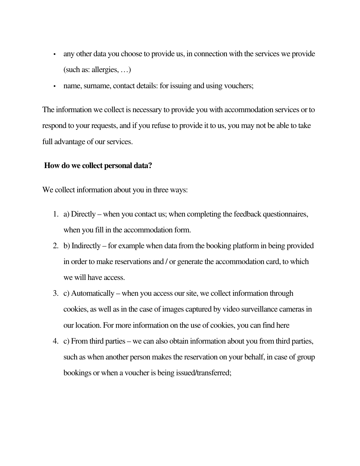- any other data you choose to provide us, in connection with the services we provide (such as: allergies, …)
- name, surname, contact details: for issuing and using vouchers;

The information we collect is necessary to provide you with accommodation services or to respond to your requests, and if you refuse to provide it to us, you may not be able to take full advantage of our services.

### **How do we collect personal data?**

We collect information about you in three ways:

- 1. a) Directly when you contact us; when completing the feedback questionnaires, when you fill in the accommodation form.
- 2. b) Indirectly for example when data from the booking platform in being provided in order to make reservations and / or generate the accommodation card, to which we will have access.
- 3. c) Automatically when you access our site, we collect information through cookies, as well as in the case of images captured by video surveillance cameras in our location. For more information on the use of cookies, you can find here
- 4. c) From third parties we can also obtain information about you from third parties, such as when another person makes the reservation on your behalf, in case of group bookings or when a voucher is being issued/transferred;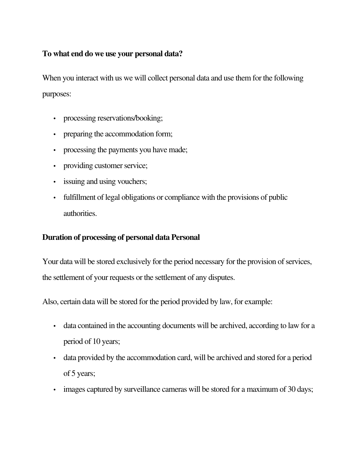### **To what end do we use your personal data?**

When you interact with us we will collect personal data and use them for the following purposes:

- processing reservations/booking;
- preparing the accommodation form;
- processing the payments you have made;
- providing customer service;
- issuing and using vouchers;
- fulfillment of legal obligations or compliance with the provisions of public authorities.

## **Duration of processing of personal data Personal**

Your data will be stored exclusively for the period necessary for the provision of services, the settlement of your requests or the settlement of any disputes.

Also, certain data will be stored for the period provided by law, for example:

- data contained in the accounting documents will be archived, according to law for a period of 10 years;
- data provided by the accommodation card, will be archived and stored for a period of 5 years;
- images captured by surveillance cameras will be stored for a maximum of 30 days;